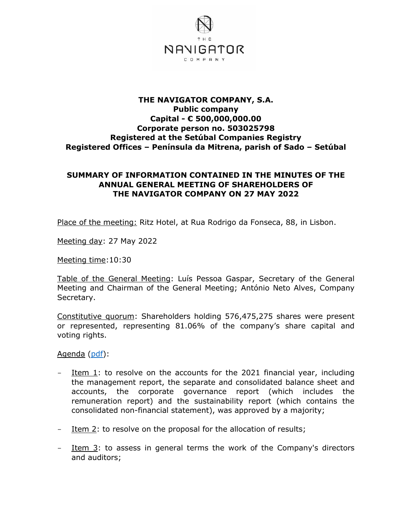

## **THE NAVIGATOR COMPANY, S.A. Public company Capital - € 500,000,000.00 Corporate person no. 503025798 Registered at the Setúbal Companies Registry Registered Offices – Península da Mitrena, parish of Sado – Setúbal**

## **SUMMARY OF INFORMATION CONTAINED IN THE MINUTES OF THE ANNUAL GENERAL MEETING OF SHAREHOLDERS OF THE NAVIGATOR COMPANY ON 27 MAY 2022**

Place of the meeting: Ritz Hotel, at Rua Rodrigo da Fonseca, 88, in Lisbon.

Meeting day: 27 May 2022

Meeting time:10:30

Table of the General Meeting: Luís Pessoa Gaspar, Secretary of the General Meeting and Chairman of the General Meeting; António Neto Alves, Company Secretary.

Constitutive quorum: Shareholders holding 576,475,275 shares were present or represented, representing 81.06% of the company's share capital and voting rights.

Agenda [\(pdf\)](http://en.thenavigatorcompany.com/var/ezdemo_site/storage/original/application/7281365987c01f8b4cce807a1941aefd.pdf):

- $-$  Item 1: to resolve on the accounts for the 2021 financial year, including the management report, the separate and consolidated balance sheet and accounts, the corporate governance report (which includes the remuneration report) and the sustainability report (which contains the consolidated non-financial statement), was approved by a majority;
- Item 2: to resolve on the proposal for the allocation of results;
- Item 3: to assess in general terms the work of the Company's directors and auditors;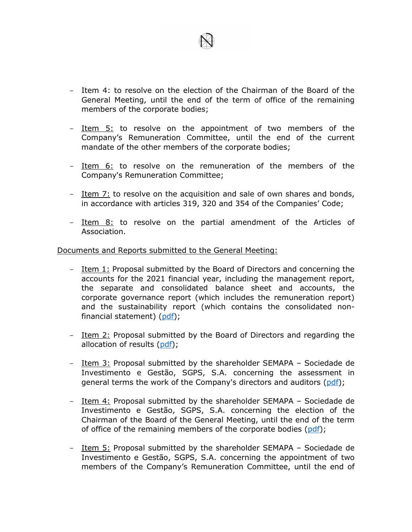

- Item 4: to resolve on the election of the Chairman of the Board of the General Meeting, until the end of the term of office of the remaining members of the corporate bodies;
- Item 5: to resolve on the appointment of two members of the Company's Remuneration Committee, until the end of the current mandate of the other members of the corporate bodies;
- Item 6: to resolve on the remuneration of the members of the Company's Remuneration Committee;
- Item 7: to resolve on the acquisition and sale of own shares and bonds, in accordance with articles 319, 320 and 354 of the Companies' Code;
- Item 8: to resolve on the partial amendment of the Articles of Association.

## Documents and Reports submitted to the General Meeting:

- Item 1: Proposal submitted by the Board of Directors and concerning the accounts for the 2021 financial year, including the management report, the separate and consolidated balance sheet and accounts, the corporate governance report (which includes the remuneration report) and the sustainability report (which contains the consolidated nonfinancial statement) [\(pdf\)](http://en.thenavigatorcompany.com/var/ezdemo_site/storage/original/application/06cd61e88535cee5eb3ebc17a90b5b33.pdf);
- Item 2: Proposal submitted by the Board of Directors and regarding the allocation of results [\(pdf\)](http://en.thenavigatorcompany.com/var/ezdemo_site/storage/original/application/e7579aa10227fe82300c3295bb917242.pdf);
- Item 3: Proposal submitted by the shareholder SEMAPA Sociedade de Investimento e Gestão, SGPS, S.A. concerning the assessment in general terms the work of the Company's directors and auditors [\(pdf\)](http://en.thenavigatorcompany.com/var/ezdemo_site/storage/original/application/ae05de1c712cd27dbd2833f367f49fe6.pdf);
- Item 4: Proposal submitted by the shareholder SEMAPA Sociedade de Investimento e Gestão, SGPS, S.A. concerning the election of the Chairman of the Board of the General Meeting, until the end of the term of office of the remaining members of the corporate bodies [\(pdf\)](http://en.thenavigatorcompany.com/var/ezdemo_site/storage/original/application/7012c3ddd253c81006eaf5547eb055d0.pdf);
- Item 5: Proposal submitted by the shareholder SEMAPA Sociedade de Investimento e Gestão, SGPS, S.A. concerning the appointment of two members of the Company's Remuneration Committee, until the end of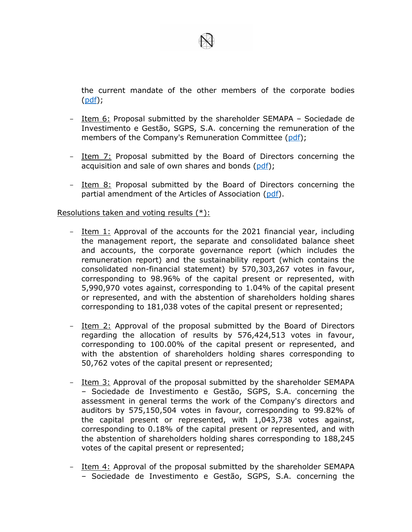

the current mandate of the other members of the corporate bodies [\(pdf\)](http://en.thenavigatorcompany.com/var/ezdemo_site/storage/original/application/ccfadc29ea975132520b5085830b65e0.pdf);

- Item 6: Proposal submitted by the shareholder SEMAPA Sociedade de Investimento e Gestão, SGPS, S.A. concerning the remuneration of the members of the Company's Remuneration Committee [\(pdf\)](http://en.thenavigatorcompany.com/var/ezdemo_site/storage/original/application/16eafbb6bcd1b842963f72ab109a0ef6.pdf);
- Item 7: Proposal submitted by the Board of Directors concerning the acquisition and sale of own shares and bonds [\(pdf\)](http://en.thenavigatorcompany.com/var/ezdemo_site/storage/original/application/936ddf30428e19318883cd1b1d3429e5.pdf);
- Item 8: Proposal submitted by the Board of Directors concerning the partial amendment of the Articles of Association [\(pdf\)](http://en.thenavigatorcompany.com/var/ezdemo_site/storage/original/application/ca13cffa8c86d3055db77a4d96865513.pdf).

## Resolutions taken and voting results (\*):

- Item 1: Approval of the accounts for the 2021 financial year, including the management report, the separate and consolidated balance sheet and accounts, the corporate governance report (which includes the remuneration report) and the sustainability report (which contains the consolidated non-financial statement) by 570,303,267 votes in favour, corresponding to 98.96% of the capital present or represented, with 5,990,970 votes against, corresponding to 1.04% of the capital present or represented, and with the abstention of shareholders holding shares corresponding to 181,038 votes of the capital present or represented;
- Item 2: Approval of the proposal submitted by the Board of Directors regarding the allocation of results by 576,424,513 votes in favour, corresponding to 100.00% of the capital present or represented, and with the abstention of shareholders holding shares corresponding to 50,762 votes of the capital present or represented;
- Item 3: Approval of the proposal submitted by the shareholder SEMAPA – Sociedade de Investimento e Gestão, SGPS, S.A. concerning the assessment in general terms the work of the Company's directors and auditors by 575,150,504 votes in favour, corresponding to 99.82% of the capital present or represented, with 1,043,738 votes against, corresponding to 0.18% of the capital present or represented, and with the abstention of shareholders holding shares corresponding to 188,245 votes of the capital present or represented;
- Item 4: Approval of the proposal submitted by the shareholder SEMAPA – Sociedade de Investimento e Gestão, SGPS, S.A. concerning the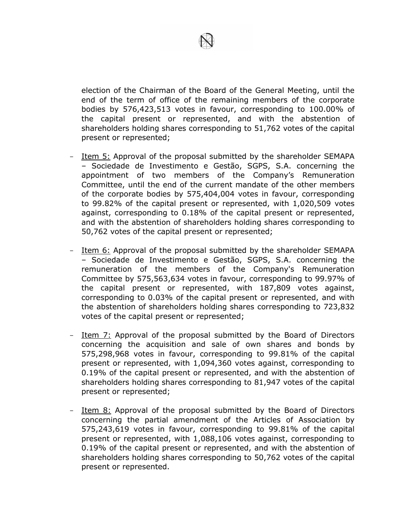

election of the Chairman of the Board of the General Meeting, until the end of the term of office of the remaining members of the corporate bodies by 576,423,513 votes in favour, corresponding to 100.00% of the capital present or represented, and with the abstention of shareholders holding shares corresponding to 51,762 votes of the capital present or represented;

- Item 5: Approval of the proposal submitted by the shareholder SEMAPA – Sociedade de Investimento e Gestão, SGPS, S.A. concerning the appointment of two members of the Company's Remuneration Committee, until the end of the current mandate of the other members of the corporate bodies by 575,404,004 votes in favour, corresponding to 99.82% of the capital present or represented, with 1,020,509 votes against, corresponding to 0.18% of the capital present or represented, and with the abstention of shareholders holding shares corresponding to 50,762 votes of the capital present or represented;
- Item 6: Approval of the proposal submitted by the shareholder SEMAPA – Sociedade de Investimento e Gestão, SGPS, S.A. concerning the remuneration of the members of the Company's Remuneration Committee by 575,563,634 votes in favour, corresponding to 99.97% of the capital present or represented, with 187,809 votes against, corresponding to 0.03% of the capital present or represented, and with the abstention of shareholders holding shares corresponding to 723,832 votes of the capital present or represented;
- Item 7: Approval of the proposal submitted by the Board of Directors concerning the acquisition and sale of own shares and bonds by 575,298,968 votes in favour, corresponding to 99.81% of the capital present or represented, with 1,094,360 votes against, corresponding to 0.19% of the capital present or represented, and with the abstention of shareholders holding shares corresponding to 81,947 votes of the capital present or represented;
- Item 8: Approval of the proposal submitted by the Board of Directors concerning the partial amendment of the Articles of Association by 575,243,619 votes in favour, corresponding to 99.81% of the capital present or represented, with 1,088,106 votes against, corresponding to 0.19% of the capital present or represented, and with the abstention of shareholders holding shares corresponding to 50,762 votes of the capital present or represented.